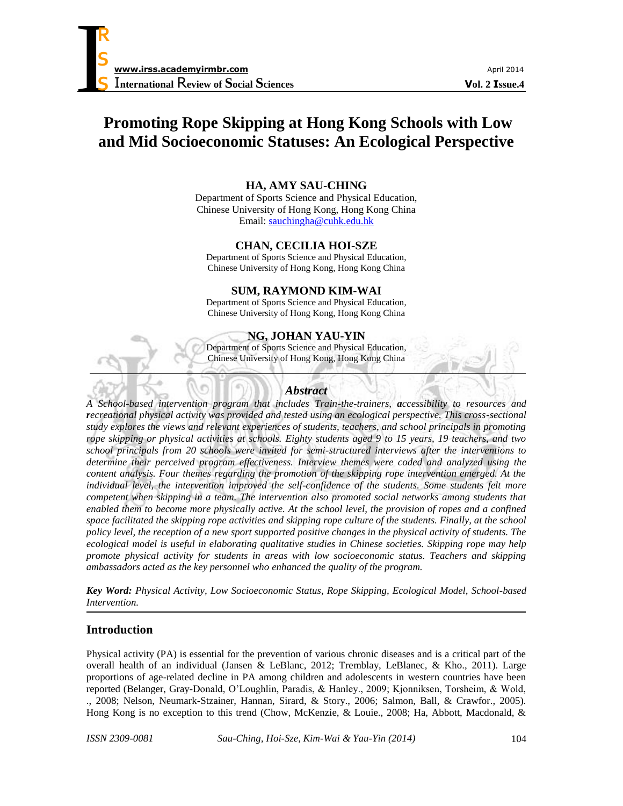

# **Promoting Rope Skipping at Hong Kong Schools with Low and Mid Socioeconomic Statuses: An Ecological Perspective**

### **HA, AMY SAU-CHING**

Department of Sports Science and Physical Education, Chinese University of Hong Kong, Hong Kong China Email: [sauchingha@cuhk.edu.hk](mailto:sauchingha@cuhk.edu.hk)

# **CHAN, CECILIA HOI-SZE**

Department of Sports Science and Physical Education, Chinese University of Hong Kong, Hong Kong China

### **SUM, RAYMOND KIM-WAI**

Department of Sports Science and Physical Education, Chinese University of Hong Kong, Hong Kong China

### **NG, JOHAN YAU-YIN**

Department of Sports Science and Physical Education, Chinese University of Hong Kong, Hong Kong China

### *Abstract*

*A School-based intervention program that includes Train-the-trainers, accessibility to resources and recreational physical activity was provided and tested using an ecological perspective. This cross-sectional study explores the views and relevant experiences of students, teachers, and school principals in promoting rope skipping or physical activities at schools. Eighty students aged 9 to 15 years, 19 teachers, and two school principals from 20 schools were invited for semi-structured interviews after the interventions to determine their perceived program effectiveness. Interview themes were coded and analyzed using the content analysis. Four themes regarding the promotion of the skipping rope intervention emerged. At the individual level, the intervention improved the self-confidence of the students. Some students felt more competent when skipping in a team. The intervention also promoted social networks among students that enabled them to become more physically active. At the school level, the provision of ropes and a confined space facilitated the skipping rope activities and skipping rope culture of the students. Finally, at the school policy level, the reception of a new sport supported positive changes in the physical activity of students. The ecological model is useful in elaborating qualitative studies in Chinese societies. Skipping rope may help promote physical activity for students in areas with low socioeconomic status. Teachers and skipping ambassadors acted as the key personnel who enhanced the quality of the program.*

*Key Word: Physical Activity, Low Socioeconomic Status, Rope Skipping, Ecological Model, School-based Intervention.*

# **Introduction**

Physical activity (PA) is essential for the prevention of various chronic diseases and is a critical part of the overall health of an individual (Jansen & LeBlanc, 2012; Tremblay, LeBlanec, & Kho., 2011). Large proportions of age-related decline in PA among children and adolescents in western countries have been reported (Belanger, Gray-Donald, O'Loughlin, Paradis, & Hanley., 2009; Kjonniksen, Torsheim, & Wold, ., 2008; Nelson, Neumark-Stzainer, Hannan, Sirard, & Story., 2006; Salmon, Ball, & Crawfor., 2005). Hong Kong is no exception to this trend (Chow, McKenzie, & Louie., 2008; Ha, Abbott, Macdonald, &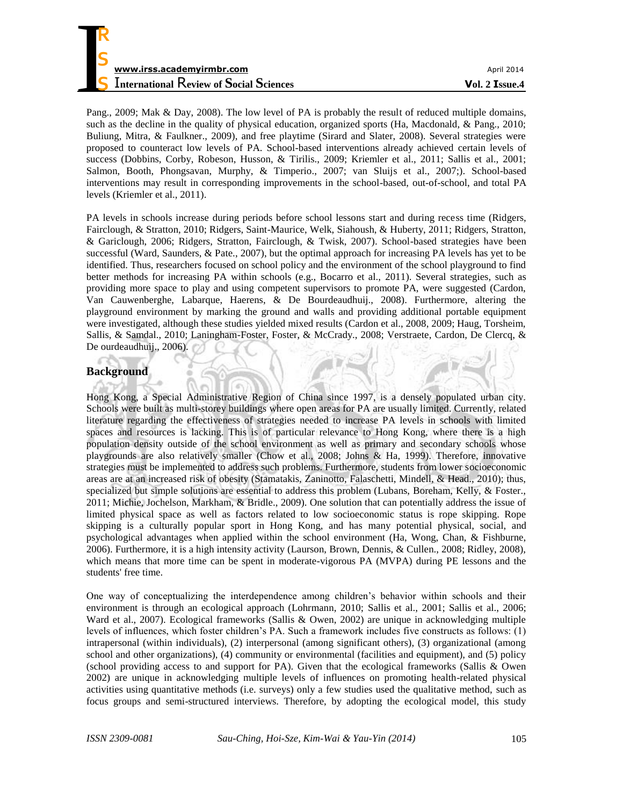

Pang., 2009; Mak & Day, 2008). The low level of PA is probably the result of reduced multiple domains, such as the decline in the quality of physical education, organized sports (Ha, Macdonald, & Pang., 2010; Buliung, Mitra, & Faulkner., 2009), and free playtime (Sirard and Slater, 2008). Several strategies were proposed to counteract low levels of PA. School-based interventions already achieved certain levels of success (Dobbins, Corby, Robeson, Husson, & Tirilis., 2009; Kriemler et al., 2011; Sallis et al., 2001; Salmon, Booth, Phongsavan, Murphy, & Timperio., 2007; van Sluijs et al., 2007;). School-based interventions may result in corresponding improvements in the school-based, out-of-school, and total PA levels (Kriemler et al., 2011).

PA levels in schools increase during periods before school lessons start and during recess time (Ridgers, Fairclough, & Stratton, 2010; Ridgers, Saint-Maurice, Welk, Siahoush, & Huberty, 2011; Ridgers, Stratton, & Gariclough, 2006; Ridgers, Stratton, Fairclough, & Twisk, 2007). School-based strategies have been successful (Ward, Saunders, & Pate., 2007), but the optimal approach for increasing PA levels has yet to be identified. Thus, researchers focused on school policy and the environment of the school playground to find better methods for increasing PA within schools (e.g., Bocarro et al., 2011). Several strategies, such as providing more space to play and using competent supervisors to promote PA, were suggested (Cardon, Van Cauwenberghe, Labarque, Haerens, & De Bourdeaudhuij., 2008). Furthermore, altering the playground environment by marking the ground and walls and providing additional portable equipment were investigated, although these studies yielded mixed results (Cardon et al., 2008, 2009; Haug, Torsheim, Sallis, & Samdal., 2010; Laningham-Foster, Foster, & McCrady., 2008; Verstraete, Cardon, De Clercq, & De ourdeaudhuij., 2006).

# **Background**

Hong Kong, a Special Administrative Region of China since 1997, is a densely populated urban city. Schools were built as multi-storey buildings where open areas for PA are usually limited. Currently, related literature regarding the effectiveness of strategies needed to increase PA levels in schools with limited spaces and resources is lacking. This is of particular relevance to Hong Kong, where there is a high population density outside of the school environment as well as primary and secondary schools whose playgrounds are also relatively smaller (Chow et al., 2008; Johns & Ha, 1999). Therefore, innovative strategies must be implemented to address such problems. Furthermore, students from lower socioeconomic areas are at an increased risk of obesity (Stamatakis, Zaninotto, Falaschetti, Mindell, & Head., 2010); thus, specialized but simple solutions are essential to address this problem (Lubans, Boreham, Kelly, & Foster., 2011; Michie, Jochelson, Markham, & Bridle., 2009). One solution that can potentially address the issue of limited physical space as well as factors related to low socioeconomic status is rope skipping. Rope skipping is a culturally popular sport in Hong Kong, and has many potential physical, social, and psychological advantages when applied within the school environment (Ha, Wong, Chan, & Fishburne, 2006). Furthermore, it is a high intensity activity (Laurson, Brown, Dennis, & Cullen., 2008; Ridley, 2008), which means that more time can be spent in moderate-vigorous PA (MVPA) during PE lessons and the students' free time.

One way of conceptualizing the interdependence among children's behavior within schools and their environment is through an ecological approach (Lohrmann, 2010; Sallis et al., 2001; Sallis et al., 2006; Ward et al., 2007). Ecological frameworks (Sallis & Owen, 2002) are unique in acknowledging multiple levels of influences, which foster children's PA. Such a framework includes five constructs as follows: (1) intrapersonal (within individuals), (2) interpersonal (among significant others), (3) organizational (among school and other organizations), (4) community or environmental (facilities and equipment), and (5) policy (school providing access to and support for PA). Given that the ecological frameworks (Sallis & Owen 2002) are unique in acknowledging multiple levels of influences on promoting health-related physical activities using quantitative methods (i.e. surveys) only a few studies used the qualitative method, such as focus groups and semi-structured interviews. Therefore, by adopting the ecological model, this study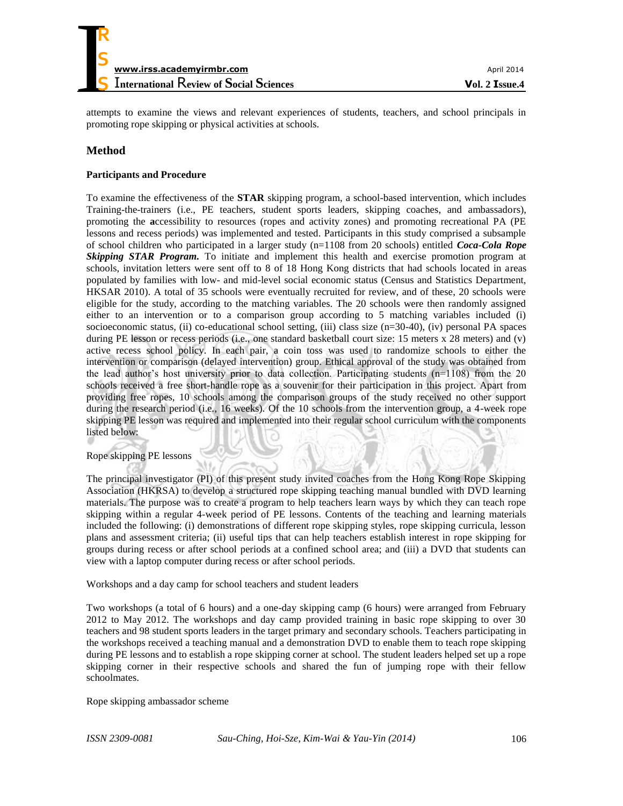

attempts to examine the views and relevant experiences of students, teachers, and school principals in promoting rope skipping or physical activities at schools.

# **Method**

### **Participants and Procedure**

To examine the effectiveness of the **STAR** skipping program, a school-based intervention, which includes Training-the-trainers (i.e., PE teachers, student sports leaders, skipping coaches, and ambassadors), promoting the **a**ccessibility to resources (ropes and activity zones) and promoting recreational PA (PE lessons and recess periods) was implemented and tested. Participants in this study comprised a subsample of school children who participated in a larger study (n=1108 from 20 schools) entitled *Coca-Cola Rope Skipping STAR Program.* To initiate and implement this health and exercise promotion program at schools, invitation letters were sent off to 8 of 18 Hong Kong districts that had schools located in areas populated by families with low- and mid-level social economic status (Census and Statistics Department, HKSAR 2010). A total of 35 schools were eventually recruited for review, and of these, 20 schools were eligible for the study, according to the matching variables. The 20 schools were then randomly assigned either to an intervention or to a comparison group according to 5 matching variables included (i) socioeconomic status, (ii) co-educational school setting, (iii) class size (n=30-40), (iv) personal PA spaces during PE lesson or recess periods (i.e., one standard basketball court size: 15 meters x 28 meters) and (v) active recess school policy. In each pair, a coin toss was used to randomize schools to either the intervention or comparison (delayed intervention) group. Ethical approval of the study was obtained from the lead author's host university prior to data collection. Participating students  $(n=1108)$  from the 20 schools received a free short-handle rope as a souvenir for their participation in this project. Apart from providing free ropes, 10 schools among the comparison groups of the study received no other support during the research period (i.e., 16 weeks). Of the 10 schools from the intervention group, a 4-week rope skipping PE lesson was required and implemented into their regular school curriculum with the components listed below:

#### Rope skipping PE lessons

The principal investigator (PI) of this present study invited coaches from the Hong Kong Rope Skipping Association (HKRSA) to develop a structured rope skipping teaching manual bundled with DVD learning materials. The purpose was to create a program to help teachers learn ways by which they can teach rope skipping within a regular 4-week period of PE lessons. Contents of the teaching and learning materials included the following: (i) demonstrations of different rope skipping styles, rope skipping curricula, lesson plans and assessment criteria; (ii) useful tips that can help teachers establish interest in rope skipping for groups during recess or after school periods at a confined school area; and (iii) a DVD that students can view with a laptop computer during recess or after school periods.

Workshops and a day camp for school teachers and student leaders

Two workshops (a total of 6 hours) and a one-day skipping camp (6 hours) were arranged from February 2012 to May 2012. The workshops and day camp provided training in basic rope skipping to over 30 teachers and 98 student sports leaders in the target primary and secondary schools. Teachers participating in the workshops received a teaching manual and a demonstration DVD to enable them to teach rope skipping during PE lessons and to establish a rope skipping corner at school. The student leaders helped set up a rope skipping corner in their respective schools and shared the fun of jumping rope with their fellow schoolmates.

Rope skipping ambassador scheme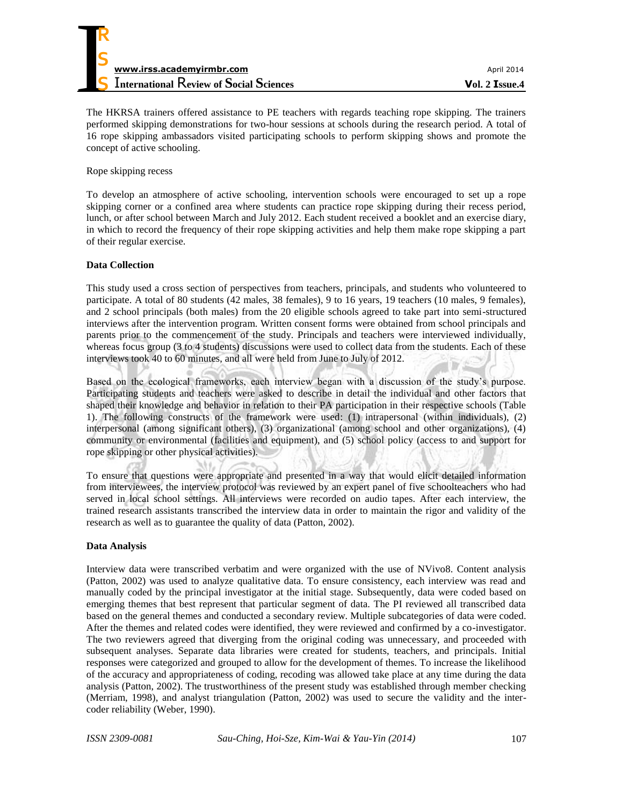| April 2014       |
|------------------|
| $Vol. 2$ Issue.4 |
|                  |

The HKRSA trainers offered assistance to PE teachers with regards teaching rope skipping. The trainers performed skipping demonstrations for two-hour sessions at schools during the research period. A total of 16 rope skipping ambassadors visited participating schools to perform skipping shows and promote the concept of active schooling.

Rope skipping recess

To develop an atmosphere of active schooling, intervention schools were encouraged to set up a rope skipping corner or a confined area where students can practice rope skipping during their recess period, lunch, or after school between March and July 2012. Each student received a booklet and an exercise diary, in which to record the frequency of their rope skipping activities and help them make rope skipping a part of their regular exercise.

### **Data Collection**

This study used a cross section of perspectives from teachers, principals, and students who volunteered to participate. A total of 80 students (42 males, 38 females), 9 to 16 years, 19 teachers (10 males, 9 females), and 2 school principals (both males) from the 20 eligible schools agreed to take part into semi-structured interviews after the intervention program. Written consent forms were obtained from school principals and parents prior to the commencement of the study. Principals and teachers were interviewed individually, whereas focus group (3 to 4 students) discussions were used to collect data from the students. Each of these interviews took 40 to 60 minutes, and all were held from June to July of 2012.

Based on the ecological frameworks, each interview began with a discussion of the study's purpose. Participating students and teachers were asked to describe in detail the individual and other factors that shaped their knowledge and behavior in relation to their PA participation in their respective schools (Table 1). The following constructs of the framework were used: (1) intrapersonal (within individuals), (2) interpersonal (among significant others), (3) organizational (among school and other organizations), (4) community or environmental (facilities and equipment), and (5) school policy (access to and support for rope skipping or other physical activities).

To ensure that questions were appropriate and presented in a way that would elicit detailed information from interviewees, the interview protocol was reviewed by an expert panel of five schoolteachers who had served in local school settings. All interviews were recorded on audio tapes. After each interview, the trained research assistants transcribed the interview data in order to maintain the rigor and validity of the research as well as to guarantee the quality of data (Patton, 2002).

### **Data Analysis**

Interview data were transcribed verbatim and were organized with the use of NVivo8. Content analysis (Patton, 2002) was used to analyze qualitative data. To ensure consistency, each interview was read and manually coded by the principal investigator at the initial stage. Subsequently, data were coded based on emerging themes that best represent that particular segment of data. The PI reviewed all transcribed data based on the general themes and conducted a secondary review. Multiple subcategories of data were coded. After the themes and related codes were identified, they were reviewed and confirmed by a co-investigator. The two reviewers agreed that diverging from the original coding was unnecessary, and proceeded with subsequent analyses. Separate data libraries were created for students, teachers, and principals. Initial responses were categorized and grouped to allow for the development of themes. To increase the likelihood of the accuracy and appropriateness of coding, recoding was allowed take place at any time during the data analysis (Patton, 2002). The trustworthiness of the present study was established through member checking (Merriam, 1998), and analyst triangulation (Patton, 2002) was used to secure the validity and the intercoder reliability (Weber, 1990).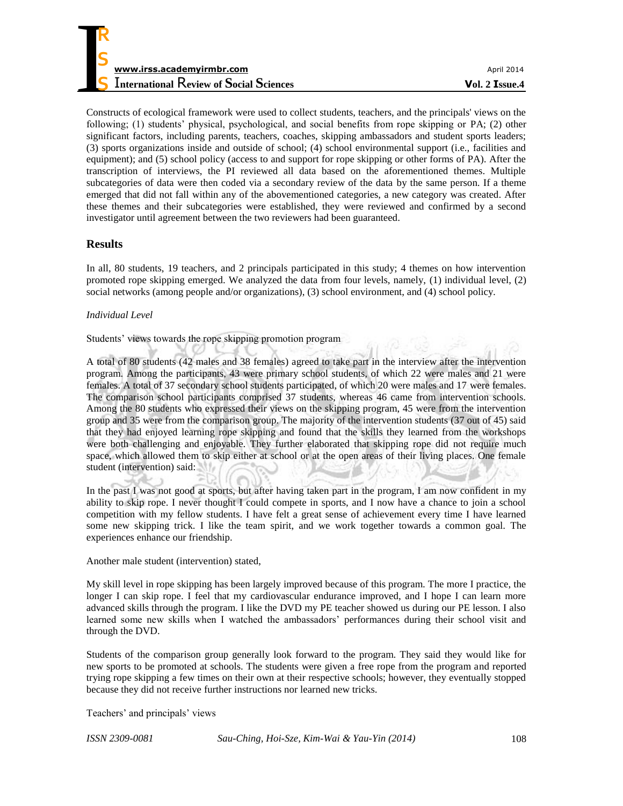Constructs of ecological framework were used to collect students, teachers, and the principals' views on the following; (1) students' physical, psychological, and social benefits from rope skipping or PA; (2) other significant factors, including parents, teachers, coaches, skipping ambassadors and student sports leaders; (3) sports organizations inside and outside of school; (4) school environmental support (i.e., facilities and equipment); and (5) school policy (access to and support for rope skipping or other forms of PA). After the transcription of interviews, the PI reviewed all data based on the aforementioned themes. Multiple subcategories of data were then coded via a secondary review of the data by the same person. If a theme emerged that did not fall within any of the abovementioned categories, a new category was created. After these themes and their subcategories were established, they were reviewed and confirmed by a second investigator until agreement between the two reviewers had been guaranteed.

# **Results**

In all, 80 students, 19 teachers, and 2 principals participated in this study; 4 themes on how intervention promoted rope skipping emerged. We analyzed the data from four levels, namely, (1) individual level, (2) social networks (among people and/or organizations), (3) school environment, and (4) school policy.

### *Individual Level*

Students' views towards the rope skipping promotion program

A total of 80 students (42 males and 38 females) agreed to take part in the interview after the intervention program. Among the participants, 43 were primary school students, of which 22 were males and 21 were females. A total of 37 secondary school students participated, of which 20 were males and 17 were females. The comparison school participants comprised 37 students, whereas 46 came from intervention schools. Among the 80 students who expressed their views on the skipping program, 45 were from the intervention group and 35 were from the comparison group. The majority of the intervention students (37 out of 45) said that they had enjoyed learning rope skipping and found that the skills they learned from the workshops were both challenging and enjoyable. They further elaborated that skipping rope did not require much space, which allowed them to skip either at school or at the open areas of their living places. One female student (intervention) said:

In the past I was not good at sports, but after having taken part in the program, I am now confident in my ability to skip rope. I never thought I could compete in sports, and I now have a chance to join a school competition with my fellow students. I have felt a great sense of achievement every time I have learned some new skipping trick. I like the team spirit, and we work together towards a common goal. The experiences enhance our friendship.

Another male student (intervention) stated,

My skill level in rope skipping has been largely improved because of this program. The more I practice, the longer I can skip rope. I feel that my cardiovascular endurance improved, and I hope I can learn more advanced skills through the program. I like the DVD my PE teacher showed us during our PE lesson. I also learned some new skills when I watched the ambassadors' performances during their school visit and through the DVD.

Students of the comparison group generally look forward to the program. They said they would like for new sports to be promoted at schools. The students were given a free rope from the program and reported trying rope skipping a few times on their own at their respective schools; however, they eventually stopped because they did not receive further instructions nor learned new tricks.

Teachers' and principals' views

*ISSN 2309-0081 Sau-Ching, Hoi-Sze, Kim-Wai & Yau-Yin (2014)* 108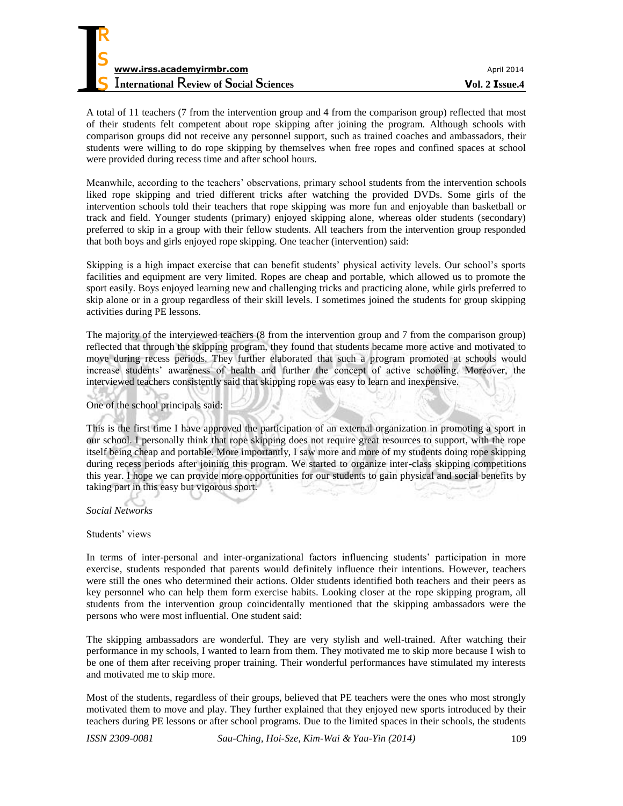| www.irss.academyirmbr.com                      | April 2014       |
|------------------------------------------------|------------------|
| <b>International Review of Social Sciences</b> | $Vol. 2$ Issue.4 |

A total of 11 teachers (7 from the intervention group and 4 from the comparison group) reflected that most of their students felt competent about rope skipping after joining the program. Although schools with comparison groups did not receive any personnel support, such as trained coaches and ambassadors, their students were willing to do rope skipping by themselves when free ropes and confined spaces at school were provided during recess time and after school hours.

Meanwhile, according to the teachers' observations, primary school students from the intervention schools liked rope skipping and tried different tricks after watching the provided DVDs. Some girls of the intervention schools told their teachers that rope skipping was more fun and enjoyable than basketball or track and field. Younger students (primary) enjoyed skipping alone, whereas older students (secondary) preferred to skip in a group with their fellow students. All teachers from the intervention group responded that both boys and girls enjoyed rope skipping. One teacher (intervention) said:

Skipping is a high impact exercise that can benefit students' physical activity levels. Our school's sports facilities and equipment are very limited. Ropes are cheap and portable, which allowed us to promote the sport easily. Boys enjoyed learning new and challenging tricks and practicing alone, while girls preferred to skip alone or in a group regardless of their skill levels. I sometimes joined the students for group skipping activities during PE lessons.

The majority of the interviewed teachers (8 from the intervention group and 7 from the comparison group) reflected that through the skipping program, they found that students became more active and motivated to move during recess periods. They further elaborated that such a program promoted at schools would increase students' awareness of health and further the concept of active schooling. Moreover, the interviewed teachers consistently said that skipping rope was easy to learn and inexpensive.

One of the school principals said:

This is the first time I have approved the participation of an external organization in promoting a sport in our school. I personally think that rope skipping does not require great resources to support, with the rope itself being cheap and portable. More importantly, I saw more and more of my students doing rope skipping during recess periods after joining this program. We started to organize inter-class skipping competitions this year. I hope we can provide more opportunities for our students to gain physical and social benefits by taking part in this easy but vigorous sport. ÷.

*Social Networks* 

Students' views

In terms of inter-personal and inter-organizational factors influencing students' participation in more exercise, students responded that parents would definitely influence their intentions. However, teachers were still the ones who determined their actions. Older students identified both teachers and their peers as key personnel who can help them form exercise habits. Looking closer at the rope skipping program, all students from the intervention group coincidentally mentioned that the skipping ambassadors were the persons who were most influential. One student said:

The skipping ambassadors are wonderful. They are very stylish and well-trained. After watching their performance in my schools, I wanted to learn from them. They motivated me to skip more because I wish to be one of them after receiving proper training. Their wonderful performances have stimulated my interests and motivated me to skip more.

Most of the students, regardless of their groups, believed that PE teachers were the ones who most strongly motivated them to move and play. They further explained that they enjoyed new sports introduced by their teachers during PE lessons or after school programs. Due to the limited spaces in their schools, the students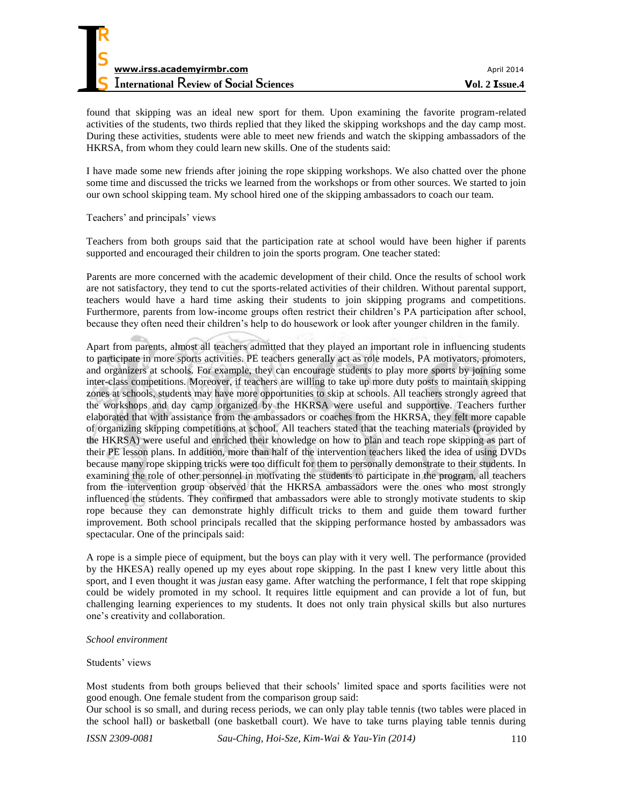found that skipping was an ideal new sport for them. Upon examining the favorite program-related activities of the students, two thirds replied that they liked the skipping workshops and the day camp most. During these activities, students were able to meet new friends and watch the skipping ambassadors of the HKRSA, from whom they could learn new skills. One of the students said:

I have made some new friends after joining the rope skipping workshops. We also chatted over the phone some time and discussed the tricks we learned from the workshops or from other sources. We started to join our own school skipping team. My school hired one of the skipping ambassadors to coach our team.

### Teachers' and principals' views

**R**

Teachers from both groups said that the participation rate at school would have been higher if parents supported and encouraged their children to join the sports program. One teacher stated:

Parents are more concerned with the academic development of their child. Once the results of school work are not satisfactory, they tend to cut the sports-related activities of their children. Without parental support, teachers would have a hard time asking their students to join skipping programs and competitions. Furthermore, parents from low-income groups often restrict their children's PA participation after school, because they often need their children's help to do housework or look after younger children in the family.

Apart from parents, almost all teachers admitted that they played an important role in influencing students to participate in more sports activities. PE teachers generally act as role models, PA motivators, promoters, and organizers at schools. For example, they can encourage students to play more sports by joining some inter-class competitions. Moreover, if teachers are willing to take up more duty posts to maintain skipping zones at schools, students may have more opportunities to skip at schools. All teachers strongly agreed that the workshops and day camp organized by the HKRSA were useful and supportive. Teachers further elaborated that with assistance from the ambassadors or coaches from the HKRSA, they felt more capable of organizing skipping competitions at school. All teachers stated that the teaching materials (provided by the HKRSA) were useful and enriched their knowledge on how to plan and teach rope skipping as part of their PE lesson plans. In addition, more than half of the intervention teachers liked the idea of using DVDs because many rope skipping tricks were too difficult for them to personally demonstrate to their students. In examining the role of other personnel in motivating the students to participate in the program, all teachers from the intervention group observed that the HKRSA ambassadors were the ones who most strongly influenced the students. They confirmed that ambassadors were able to strongly motivate students to skip rope because they can demonstrate highly difficult tricks to them and guide them toward further improvement. Both school principals recalled that the skipping performance hosted by ambassadors was spectacular. One of the principals said:

A rope is a simple piece of equipment, but the boys can play with it very well. The performance (provided by the HKESA) really opened up my eyes about rope skipping. In the past I knew very little about this sport, and I even thought it was *just*an easy game. After watching the performance, I felt that rope skipping could be widely promoted in my school. It requires little equipment and can provide a lot of fun, but challenging learning experiences to my students. It does not only train physical skills but also nurtures one's creativity and collaboration.

#### *School environment*

#### Students' views

Most students from both groups believed that their schools' limited space and sports facilities were not good enough. One female student from the comparison group said:

Our school is so small, and during recess periods, we can only play table tennis (two tables were placed in the school hall) or basketball (one basketball court). We have to take turns playing table tennis during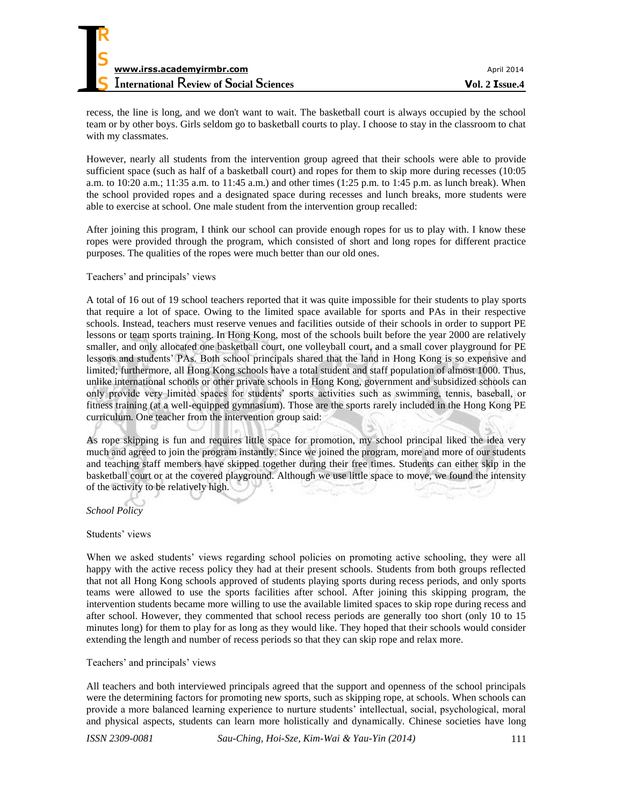

recess, the line is long, and we don't want to wait. The basketball court is always occupied by the school team or by other boys. Girls seldom go to basketball courts to play. I choose to stay in the classroom to chat with my classmates.

However, nearly all students from the intervention group agreed that their schools were able to provide sufficient space (such as half of a basketball court) and ropes for them to skip more during recesses (10:05 a.m. to 10:20 a.m.; 11:35 a.m. to 11:45 a.m.) and other times (1:25 p.m. to 1:45 p.m. as lunch break). When the school provided ropes and a designated space during recesses and lunch breaks, more students were able to exercise at school. One male student from the intervention group recalled:

After joining this program, I think our school can provide enough ropes for us to play with. I know these ropes were provided through the program, which consisted of short and long ropes for different practice purposes. The qualities of the ropes were much better than our old ones.

#### Teachers' and principals' views

A total of 16 out of 19 school teachers reported that it was quite impossible for their students to play sports that require a lot of space. Owing to the limited space available for sports and PAs in their respective schools. Instead, teachers must reserve venues and facilities outside of their schools in order to support PE lessons or team sports training. In Hong Kong, most of the schools built before the year 2000 are relatively smaller, and only allocated one basketball court, one volleyball court, and a small cover playground for PE lessons and students' PAs. Both school principals shared that the land in Hong Kong is so expensive and limited; furthermore, all Hong Kong schools have a total student and staff population of almost 1000. Thus, unlike international schools or other private schools in Hong Kong, government and subsidized schools can only provide very limited spaces for students' sports activities such as swimming, tennis, baseball, or fitness training (at a well-equipped gymnasium). Those are the sports rarely included in the Hong Kong PE curriculum. One teacher from the intervention group said:

As rope skipping is fun and requires little space for promotion, my school principal liked the idea very much and agreed to join the program instantly. Since we joined the program, more and more of our students and teaching staff members have skipped together during their free times. Students can either skip in the basketball court or at the covered playground. Although we use little space to move, we found the intensity of the activity to be relatively high.

*School Policy* 

#### Students' views

When we asked students' views regarding school policies on promoting active schooling, they were all happy with the active recess policy they had at their present schools. Students from both groups reflected that not all Hong Kong schools approved of students playing sports during recess periods, and only sports teams were allowed to use the sports facilities after school. After joining this skipping program, the intervention students became more willing to use the available limited spaces to skip rope during recess and after school. However, they commented that school recess periods are generally too short (only 10 to 15 minutes long) for them to play for as long as they would like. They hoped that their schools would consider extending the length and number of recess periods so that they can skip rope and relax more.

#### Teachers' and principals' views

All teachers and both interviewed principals agreed that the support and openness of the school principals were the determining factors for promoting new sports, such as skipping rope, at schools. When schools can provide a more balanced learning experience to nurture students' intellectual, social, psychological, moral and physical aspects, students can learn more holistically and dynamically. Chinese societies have long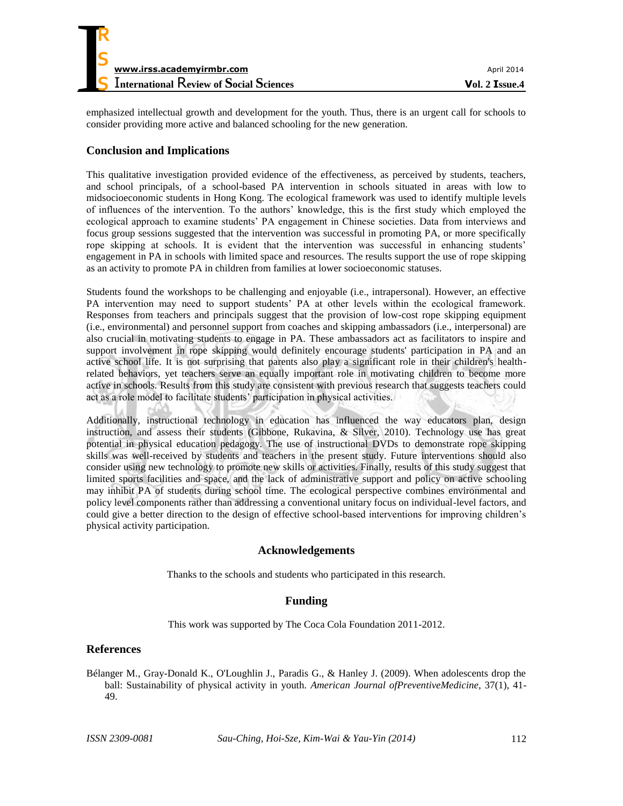

emphasized intellectual growth and development for the youth. Thus, there is an urgent call for schools to consider providing more active and balanced schooling for the new generation.

# **Conclusion and Implications**

This qualitative investigation provided evidence of the effectiveness, as perceived by students, teachers, and school principals, of a school-based PA intervention in schools situated in areas with low to midsocioeconomic students in Hong Kong. The ecological framework was used to identify multiple levels of influences of the intervention. To the authors' knowledge, this is the first study which employed the ecological approach to examine students' PA engagement in Chinese societies. Data from interviews and focus group sessions suggested that the intervention was successful in promoting PA, or more specifically rope skipping at schools. It is evident that the intervention was successful in enhancing students' engagement in PA in schools with limited space and resources. The results support the use of rope skipping as an activity to promote PA in children from families at lower socioeconomic statuses.

Students found the workshops to be challenging and enjoyable (i.e., intrapersonal). However, an effective PA intervention may need to support students' PA at other levels within the ecological framework. Responses from teachers and principals suggest that the provision of low-cost rope skipping equipment (i.e., environmental) and personnel support from coaches and skipping ambassadors (i.e., interpersonal) are also crucial in motivating students to engage in PA. These ambassadors act as facilitators to inspire and support involvement in rope skipping would definitely encourage students' participation in PA and an active school life. It is not surprising that parents also play a significant role in their children's healthrelated behaviors, yet teachers serve an equally important role in motivating children to become more active in schools. Results from this study are consistent with previous research that suggests teachers could act as a role model to facilitate students' participation in physical activities.

Additionally, instructional technology in education has influenced the way educators plan, design instruction, and assess their students (Gibbone, Rukavina, & Silver, 2010). Technology use has great potential in physical education pedagogy. The use of instructional DVDs to demonstrate rope skipping skills was well-received by students and teachers in the present study. Future interventions should also consider using new technology to promote new skills or activities. Finally, results of this study suggest that limited sports facilities and space, and the lack of administrative support and policy on active schooling may inhibit PA of students during school time. The ecological perspective combines environmental and policy level components rather than addressing a conventional unitary focus on individual-level factors, and could give a better direction to the design of effective school-based interventions for improving children's physical activity participation.

### **Acknowledgements**

Thanks to the schools and students who participated in this research.

# **Funding**

This work was supported by The Coca Cola Foundation 2011-2012.

### **References**

Bélanger M., Gray-Donald K., O'Loughlin J., Paradis G., & Hanley J. (2009). When adolescents drop the ball: Sustainability of physical activity in youth. *American Journal ofPreventiveMedicine*, 37(1), 41- 49.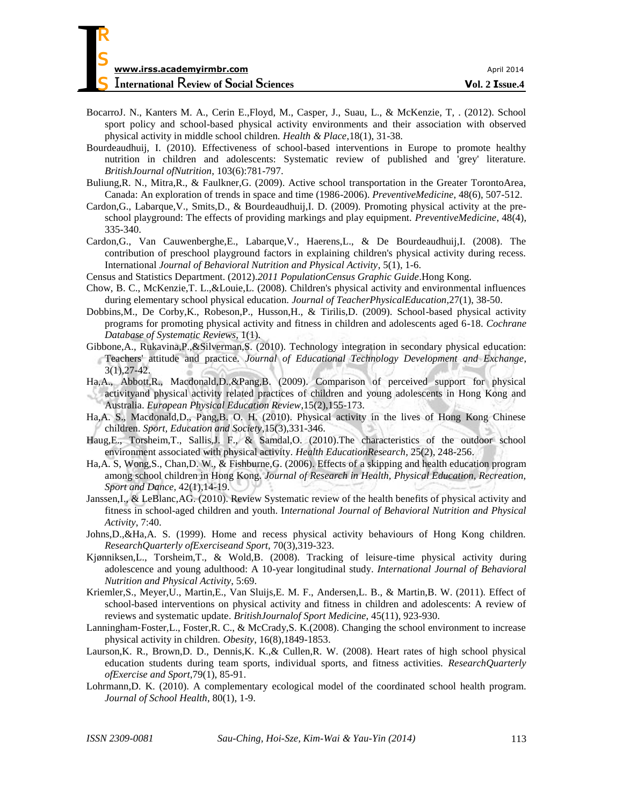- BocarroJ. N., Kanters M. A., Cerin E.,Floyd, M., Casper, J., Suau, L., & McKenzie, T, . (2012). School sport policy and school-based physical activity environments and their association with observed physical activity in middle school children. *Health & Place*,18(1), 31-38.
- Bourdeaudhuij, I. (2010). Effectiveness of school-based interventions in Europe to promote healthy nutrition in children and adolescents: Systematic review of published and 'grey' literature. *BritishJournal ofNutrition*, 103(6):781-797.
- Buliung,R. N., Mitra,R., & Faulkner,G. (2009). Active school transportation in the Greater TorontoArea, Canada: An exploration of trends in space and time (1986-2006). *PreventiveMedicine*, 48(6), 507-512.
- Cardon,G., Labarque,V., Smits,D., & Bourdeaudhuij,I. D. (2009). Promoting physical activity at the preschool playground: The effects of providing markings and play equipment. *PreventiveMedicine*, 48(4), 335-340.
- Cardon,G., Van Cauwenberghe,E., Labarque,V., Haerens,L., & De Bourdeaudhuij,I. (2008). The contribution of preschool playground factors in explaining children's physical activity during recess. International *Journal of Behavioral Nutrition and Physical Activity*, 5(1), 1-6.
- Census and Statistics Department. (2012).*2011 PopulationCensus Graphic Guide*.Hong Kong.
- Chow, B. C., McKenzie,T. L.,&Louie,L. (2008). Children's physical activity and environmental influences during elementary school physical education. *Journal of TeacherPhysicalEducation*,27(1), 38-50.
- Dobbins,M., De Corby,K., Robeson,P., Husson,H., & Tirilis,D. (2009). School-based physical activity programs for promoting physical activity and fitness in children and adolescents aged 6-18. *Cochrane Database of Systematic Reviews*, 1(1).
- Gibbone,A., Rukavina,P.,&Silverman,S. (2010). Technology integration in secondary physical education: Teachers' attitude and practice. *Journal of Educational Technology Development and Exchange*, 3(1),27-42.
- Ha,A., Abbott,R., Macdonald,D.,&Pang,B. (2009). Comparison of perceived support for physical activityand physical activity related practices of children and young adolescents in Hong Kong and Australia. *European Physical Education Review*,15(2),155-173.
- Ha,A. S., Macdonald,D., Pang,B. O. H. (2010). Physical activity in the lives of Hong Kong Chinese children. *Sport, Education and Society*,15(3),331-346.
- Haug,E., Torsheim,T., Sallis,J. F., & Samdal,O. (2010).The characteristics of the outdoor school environment associated with physical activity. *Health EducationResearch*, 25(2), 248-256.
- Ha,A. S, Wong,S., Chan,D. W., & Fishburne,G. (2006). Effects of a skipping and health education program among school children in Hong Kong. *Journal of Research in Health, Physical Education, Recreation, Sport and Dance*, 42(1),14-19.
- Janssen,I., & LeBlanc,AG. (2010). Review Systematic review of the health benefits of physical activity and fitness in school-aged children and youth. I*nternational Journal of Behavioral Nutrition and Physical Activity*, 7:40.
- Johns,D.,&Ha,A. S. (1999). Home and recess physical activity behaviours of Hong Kong children. *ResearchQuarterly ofExerciseand Sport*, 70(3),319-323.
- Kjønniksen,L., Torsheim,T., & Wold,B. (2008). Tracking of leisure-time physical activity during adolescence and young adulthood: A 10-year longitudinal study. *International Journal of Behavioral Nutrition and Physical Activity*, 5:69.
- Kriemler,S., Meyer,U., Martin,E., Van Sluijs,E. M. F., Andersen,L. B., & Martin,B. W. (2011). Effect of school-based interventions on physical activity and fitness in children and adolescents: A review of reviews and systematic update. *BritishJournalof Sport Medicine*, 45(11), 923-930.
- Lanningham‐Foster,L., Foster,R. C., & McCrady,S. K.(2008). Changing the school environment to increase physical activity in children. *Obesity*, 16(8),1849-1853.
- Laurson,K. R., Brown,D. D., Dennis,K. K.,& Cullen,R. W. (2008). Heart rates of high school physical education students during team sports, individual sports, and fitness activities. *ResearchQuarterly ofExercise and Sport*,79(1), 85-91.
- Lohrmann,D. K. (2010). A complementary ecological model of the coordinated school health program. *Journal of School Health*, 80(1), 1-9.

**R**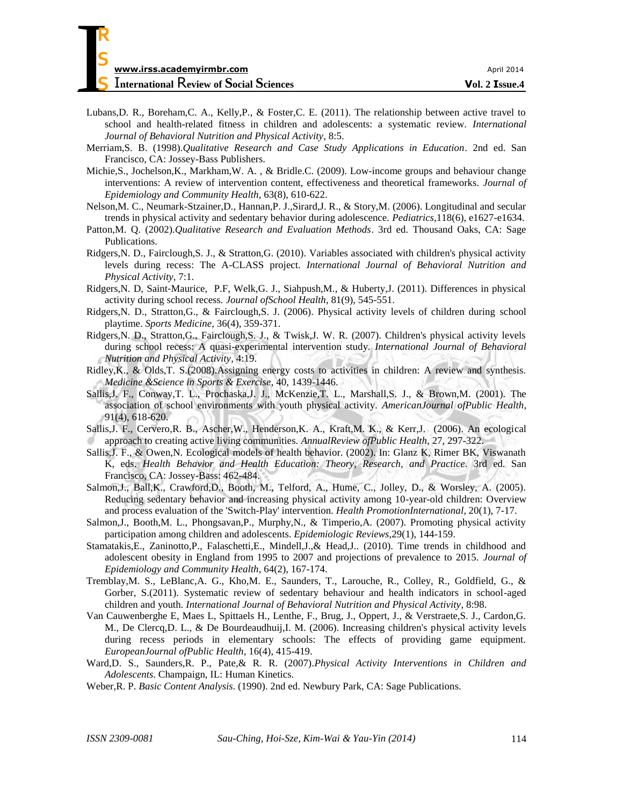- Lubans,D. R., Boreham,C. A., Kelly,P., & Foster,C. E. (2011). The relationship between active travel to school and health-related fitness in children and adolescents: a systematic review. *International Journal of Behavioral Nutrition and Physical Activity*, 8:5.
- Merriam,S. B. (1998).*Qualitative Research and Case Study Applications in Education*. 2nd ed. San Francisco, CA: Jossey-Bass Publishers.
- Michie,S., Jochelson,K., Markham,W. A. , & Bridle.C. (2009). Low-income groups and behaviour change interventions: A review of intervention content, effectiveness and theoretical frameworks. *Journal of Epidemiology and Community Health*, 63(8), 610-622.
- Nelson,M. C., Neumark-Stzainer,D., Hannan,P. J.,Sirard,J. R., & Story,M. (2006). Longitudinal and secular trends in physical activity and sedentary behavior during adolescence. *Pediatrics*,118(6), e1627-e1634.
- Patton,M. Q. (2002).*Qualitative Research and Evaluation Methods*. 3rd ed. Thousand Oaks, CA: Sage Publications.
- Ridgers,N. D., Fairclough,S. J., & Stratton,G. (2010). Variables associated with children's physical activity levels during recess: The A-CLASS project. *International Journal of Behavioral Nutrition and Physical Activity*, 7:1.
- Ridgers,N. D, Saint‐Maurice, P.F, Welk,G. J., Siahpush,M., & Huberty,J. (2011). Differences in physical activity during school recess. *Journal ofSchool Health*, 81(9), 545-551.
- Ridgers,N. D., Stratton,G., & Fairclough,S. J. (2006). Physical activity levels of children during school playtime. *Sports Medicine*, 36(4), 359-371.
- Ridgers,N. D., Stratton,G., Fairclough,S. J., & Twisk,J. W. R. (2007). Children's physical activity levels during school recess: A quasi-experimental intervention study. *International Journal of Behavioral Nutrition and Physical Activity*, 4:19.
- Ridley,K., & Olds,T. S.(2008).Assigning energy costs to activities in children: A review and synthesis. *Medicine &Science in Sports & Exercise*, 40, 1439-1446.
- Sallis,J. F., Conway,T. L., Prochaska,J. J., McKenzie,T. L., Marshall,S. J., & Brown,M. (2001). The association of school environments with youth physical activity. *AmericanJournal ofPublic Health*, 91(4), 618-620.
- Sallis,J. F., Cervero,R. B., Ascher,W., Henderson,K. A., Kraft,M. K., & Kerr,J. (2006). An ecological approach to creating active living communities. *AnnualReview ofPublic Health*, 27, 297-322.
- Sallis,J. F., & Owen,N. Ecological models of health behavior. (2002). In: Glanz K, Rimer BK, Viswanath K, eds. *Health Behavior and Health Education: Theory, Research, and Practice*. 3rd ed. San Francisco, CA: Jossey-Bass: 462-484.
- Salmon,J., Ball,K., Crawford,D., Booth, M., Telford, A., Hume, C., Jolley, D., & Worsley, A. (2005). Reducing sedentary behavior and increasing physical activity among 10-year-old children: Overview and process evaluation of the 'Switch-Play' intervention. *Health PromotionInternational*, 20(1), 7-17.
- Salmon,J., Booth,M. L., Phongsavan,P., Murphy,N., & Timperio,A. (2007). Promoting physical activity participation among children and adolescents. *Epidemiologic Reviews*,29(1), 144-159.
- Stamatakis,E., Zaninotto,P., Falaschetti,E., Mindell,J.,& Head,J.. (2010). Time trends in childhood and adolescent obesity in England from 1995 to 2007 and projections of prevalence to 2015. *Journal of Epidemiology and Community Health*, 64(2), 167-174.
- Tremblay,M. S., LeBlanc,A. G., Kho,M. E., Saunders, T., Larouche, R., Colley, R., Goldfield, G., & Gorber, S.(2011). Systematic review of sedentary behaviour and health indicators in school-aged children and youth. *International Journal of Behavioral Nutrition and Physical Activity*, 8:98.
- Van Cauwenberghe E, Maes L, Spittaels H., Lenthe, F., Brug, J., Oppert, J., & Verstraete,S. J., Cardon,G. M., De Clercq,D. L., & De Bourdeaudhuij,I. M. (2006). Increasing children's physical activity levels during recess periods in elementary schools: The effects of providing game equipment. *EuropeanJournal ofPublic Health*, 16(4), 415-419.
- Ward,D. S., Saunders,R. P., Pate,& R. R. (2007).*Physical Activity Interventions in Children and Adolescents*. Champaign, IL: Human Kinetics.
- Weber,R. P. *Basic Content Analysis*. (1990). 2nd ed. Newbury Park, CA: Sage Publications.

**R**